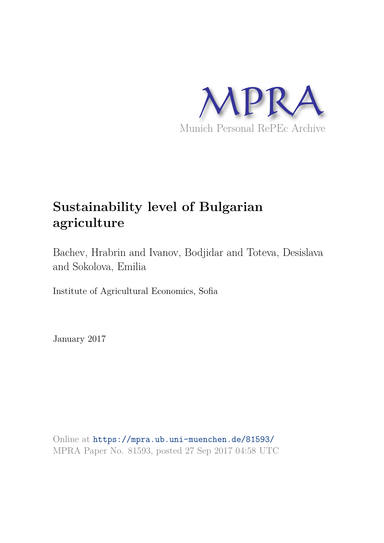

# **Sustainability level of Bulgarian agriculture**

Bachev, Hrabrin and Ivanov, Bodjidar and Toteva, Desislava and Sokolova, Emilia

Institute of Agricultural Economics, Sofia

January 2017

Online at https://mpra.ub.uni-muenchen.de/81593/ MPRA Paper No. 81593, posted 27 Sep 2017 04:58 UTC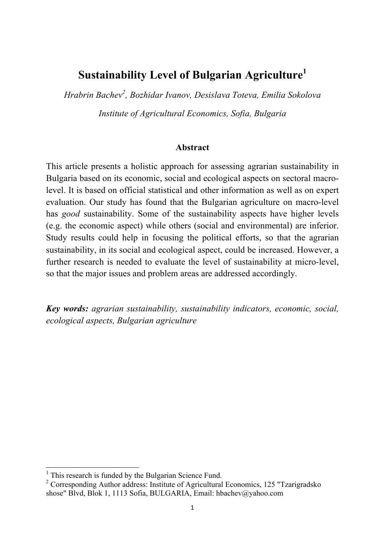## **Sustainability Level of Bulgarian Agriculture<sup>1</sup>**

*Hrabrin Bachev<sup>2</sup> , Bozhidar Ivanov, Desislava Toteva, Emilia Sokolova*

*Institute of Agricultural Economics, Sofia, Bulgaria*

## **Abstract**

This article presents a holistic approach for assessing agrarian sustainability in Bulgaria based on its economic, social and ecological aspects on sectoral macrolevel. It is based on official statistical and other information as well as on expert evaluation. Our study has found that the Bulgarian agriculture on macro-level has *good* sustainability. Some of the sustainability aspects have higher levels (e.g. the economic aspect) while others (social and environmental) are inferior. Study results could help in focusing the political efforts, so that the agrarian sustainability, in its social and ecological aspect, could be increased. However, a further research is needed to evaluate the level of sustainability at micro-level, so that the major issues and problem areas are addressed accordingly.

*Key words: agrarian sustainability, sustainability indicators, economic, social, ecological aspects, Bulgarian agriculture*

<sup>&</sup>lt;sup>1</sup> This research is funded by the Bulgarian Science Fund.

<sup>&</sup>lt;sup>2</sup> Corresponding Author address: Institute of Agricultural Economics, 125 "Tzarigradsko shose" Blvd, Blok 1, 1113 Sofia, BULGARIA, Email: hbachev@yahoo.com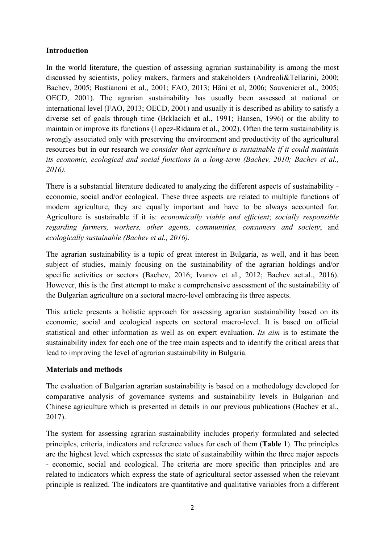## **Introduction**

In the world literature, the question of assessing agrarian sustainability is among the most discussed by scientists, policy makers, farmers and stakeholders (Andreoli&Tellarini, 2000; Bachev, 2005; Bastianoni et al., 2001; FAO, 2013; Häni et al, 2006; Sauvenieret al., 2005; OECD, 2001). The agrarian sustainability has usually been assessed at national or international level (FAO, 2013; OECD, 2001) and usually it is described as ability to satisfy a diverse set of goals through time (Brklacich et al., 1991; Hansen, 1996) or the ability to maintain or improve its functions (Lopez-Ridaura et al., 2002). Often the term sustainability is wrongly associated only with preserving the environment and productivity of the agricultural resources but in our research we *consider that agriculture is sustainable if it could maintain its economic, ecological and social functions in a long-term (Bachev, 2010; Bachev et al., 2016).* 

There is a substantial literature dedicated to analyzing the different aspects of sustainability economic, social and/or ecological. These three aspects are related to multiple functions of modern agriculture, they are equally important and have to be always accounted for. Agriculture is sustainable if it is: *economically viable and efficient*; *socially responsible regarding farmers, workers, other agents, communities, consumers and society*; and *ecologically sustainable (Bachev et al., 2016)*.

The agrarian sustainability is a topic of great interest in Bulgaria, as well, and it has been subject of studies, mainly focusing on the sustainability of the agrarian holdings and/or specific activities or sectors (Bachev, 2016; Ivanov et al., 2012; Bachev aet.al., 2016). However, this is the first attempt to make a comprehensive assessment of the sustainability of the Bulgarian agriculture on a sectoral macro-level embracing its three aspects.

This article presents a holistic approach for assessing agrarian sustainability based on its economic, social and ecological aspects on sectoral macro-level. It is based on official statistical and other information as well as on expert evaluation. *Its aim* is to estimate the sustainability index for each one of the tree main aspects and to identify the critical areas that lead to improving the level of agrarian sustainability in Bulgaria.

## **Materials and methods**

The evaluation of Bulgarian agrarian sustainability is based on a methodology developed for comparative analysis of governance systems and sustainability levels in Bulgarian and Chinеse agriculture which is presented in details in our previous publications (Bachev et al., 2017).

The system for assessing agrarian sustainability includes properly formulated and selected principles, criteria, indicators and reference values for each of them (**Table 1**). The principles are the highest level which expresses the state of sustainability within the three major aspects - economic, social and ecological. The criteria are more specific than principles and are related to indicators which express the state of agricultural sector assessed when the relevant principle is realized. The indicators are quantitative and qualitative variables from a different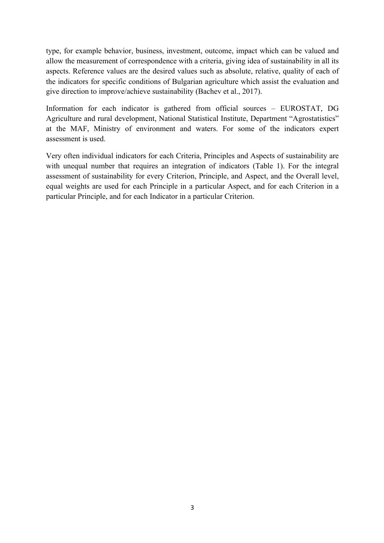type, for example behavior, business, investment, outcome, impact which can be valued and allow the measurement of correspondence with a criteria, giving idea of sustainability in all its aspects. Reference values are the desired values such as absolute, relative, quality of each of the indicators for specific conditions of Bulgarian agriculture which assist the evaluation and give direction to improve/achieve sustainability (Bachev et al., 2017).

Information for each indicator is gathered from official sources – EUROSTAT, DG Agriculture and rural development, National Statistical Institute, Department "Agrostatistics" at the MAF, Ministry of environment and waters. For some of the indicators expert assessment is used.

Very often individual indicators for each Criteria, Principles and Aspects of sustainability are with unequal number that requires an integration of indicators (Table 1). For the integral assessment of sustainability for every Criterion, Principle, and Aspect, and the Overall level, equal weights are used for each Principle in a particular Aspect, and for each Criterion in a particular Principle, and for each Indicator in a particular Criterion.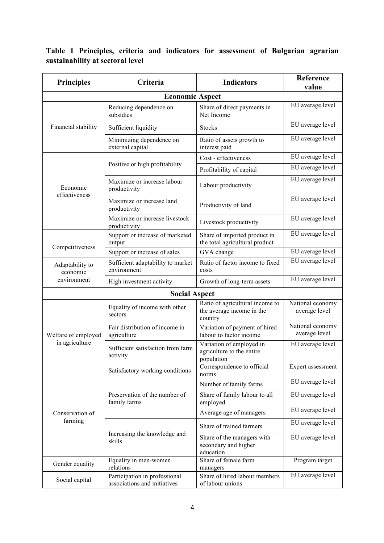## **Table 1 Principles, criteria and indicators for assessment of Bulgarian agrarian sustainability at sectoral level**

| <b>Principles</b>                          | Criteria                                                      | <b>Indicators</b>                                                       | Reference<br>value                |  |
|--------------------------------------------|---------------------------------------------------------------|-------------------------------------------------------------------------|-----------------------------------|--|
|                                            | <b>Economic Aspect</b>                                        |                                                                         |                                   |  |
| Financial stability                        | Reducing dependence on<br>subsidies                           | Share of direct payments in<br>Net Income                               | EU average level                  |  |
|                                            | Sufficient liquidity                                          | <b>Stocks</b>                                                           | EU average level                  |  |
|                                            | Minimizing dependence on<br>external capital                  | Ratio of assets growth to<br>interest paid                              | EU average level                  |  |
| Economic<br>effectiveness                  | Positive or high profitability                                | Cost - effectiveness                                                    | EU average level                  |  |
|                                            |                                                               | Profitability of capital                                                | EU average level                  |  |
|                                            | Maximize or increase labour<br>productivity                   | Labour productivity                                                     | EU average level                  |  |
|                                            | Maximize or increase land<br>productivity                     | Productivity of land                                                    | EU average level                  |  |
|                                            | Maximize or increase livestock<br>productivity                | Livestock productivity                                                  | EU average level                  |  |
| Competitiveness                            | Support or increase of marketed<br>output                     | Share of imported product in<br>the total agricultural product          | EU average level                  |  |
|                                            | Support or increase of sales                                  | GVA change                                                              | EU average level                  |  |
| Adaptability to<br>economic<br>environment | Sufficient adaptability to market<br>environment              | Ratio of factor income to fixed<br>costs                                | EU average level                  |  |
|                                            | High investment activity                                      | Growth of long-term assets                                              | EU average level                  |  |
| <b>Social Aspect</b>                       |                                                               |                                                                         |                                   |  |
| Welfare of employed<br>in agriculture      | Equality of income with other<br>sectors                      | Ratio of agricultural income to<br>the average income in the<br>country | National economy<br>average level |  |
|                                            | Fair distribution of income in<br>agriculture                 | Variation of payment of hired<br>labour to factor income                | National economy<br>average level |  |
|                                            | Sufficient satisfaction from farm<br>activity                 | Variation of employed in<br>agriculture to the entire<br>population     | EU average level                  |  |
|                                            | Satisfactory working conditions                               | Correspondence to official<br>norms                                     | Expert assessment                 |  |
| Conservation of<br>farming                 | Preservation of the number of<br>family farms                 | Number of family farms                                                  | EU average level                  |  |
|                                            |                                                               | Share of family labour to all<br>employed                               | EU average level                  |  |
|                                            |                                                               | Average age of managers                                                 | EU average level                  |  |
|                                            | Increasing the knowledge and<br>skills                        | Share of trained farmers                                                | EU average level                  |  |
|                                            |                                                               | Share of the managers with<br>secondary and higher<br>education         | EU average level                  |  |
| Gender equality                            | Equality in men-women<br>relations                            | Share of female farm<br>managers                                        | Program target                    |  |
| Social capital                             | Participation in professional<br>associations and initiatives | Share of hired labour members<br>of labour unions                       | EU average level                  |  |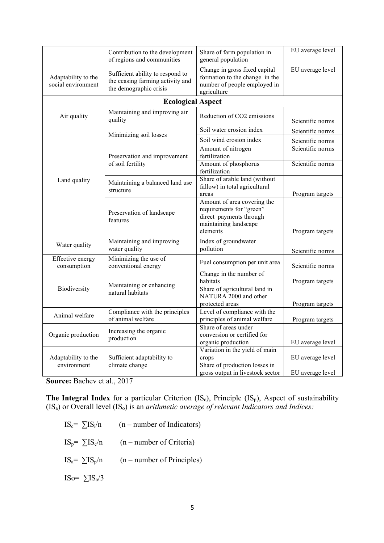|                                           | Contribution to the development<br>of regions and communities                                  | Share of farm population in<br>general population                                                                       | EU average level                     |  |
|-------------------------------------------|------------------------------------------------------------------------------------------------|-------------------------------------------------------------------------------------------------------------------------|--------------------------------------|--|
| Adaptability to the<br>social environment | Sufficient ability to respond to<br>the ceasing farming activity and<br>the demographic crisis | Change in gross fixed capital<br>formation to the change in the<br>number of people employed in<br>agriculture          | EU average level                     |  |
| <b>Ecological Aspect</b>                  |                                                                                                |                                                                                                                         |                                      |  |
| Air quality                               | Maintaining and improving air<br>quality                                                       | Reduction of CO2 emissions                                                                                              | Scientific norms                     |  |
| Land quality                              | Minimizing soil losses                                                                         | Soil water erosion index                                                                                                | Scientific norms                     |  |
|                                           |                                                                                                | Soil wind erosion index                                                                                                 | Scientific norms                     |  |
|                                           | Preservation and improvement<br>of soil fertility                                              | Amount of nitrogen<br>fertilization                                                                                     | Scientific norms                     |  |
|                                           |                                                                                                | Amount of phosphorus<br>fertilization                                                                                   | Scientific norms                     |  |
|                                           | Maintaining a balanced land use<br>structure                                                   | Share of arable land (without<br>fallow) in total agricultural<br>areas                                                 | Program targets                      |  |
|                                           | Preservation of landscape<br>features                                                          | Amount of area covering the<br>requirements for "green"<br>direct payments through<br>maintaining landscape<br>elements | Program targets                      |  |
| Water quality                             | Maintaining and improving<br>water quality                                                     | Index of groundwater<br>pollution                                                                                       | Scientific norms                     |  |
| Effective energy<br>consumption           | Minimizing the use of<br>conventional energy                                                   | Fuel consumption per unit area                                                                                          | Scientific norms                     |  |
| Biodiversity                              | Maintaining or enhancing<br>natural habitats                                                   | Change in the number of<br>habitats<br>Share of agricultural land in<br>NATURA 2000 and other<br>protected areas        | Program targets<br>Program targets   |  |
| Animal welfare                            | Compliance with the principles<br>of animal welfare                                            | Level of compliance with the<br>principles of animal welfare                                                            | Program targets                      |  |
| Organic production                        | Increasing the organic<br>production                                                           | Share of areas under<br>conversion or certified for<br>organic production                                               | EU average level                     |  |
| Adaptability to the<br>environment        | Sufficient adaptability to<br>climate change                                                   | Variation in the yield of main<br>crops<br>Share of production losses in<br>gross output in livestock sector            | EU average level<br>EU average level |  |

**Source:** Bachev et al., 2017

The Integral Index for a particular Criterion (IS<sub>c</sub>), Principle (IS<sub>p</sub>), Aspect of sustainability (ISа) or Overall level (ISо) is an *arithmetic average of relevant Indicators and Indices:*

IS<sub>c</sub>=  $\sum$ IS<sub>i</sub>/n (n – number of Indicators) IS<sub>p</sub>=  $\sum$ IS<sub>c</sub>/n (n – number of Criteria) IS<sub>a</sub>=  $\sum$ IS<sub>p</sub>/n (n – number of Principles) ISo=  $\Sigma$ IS<sub>a</sub>/3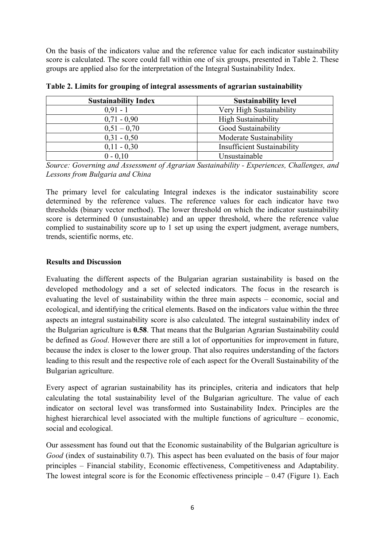On the basis of the indicators value and the reference value for each indicator sustainability score is calculated. The score could fall within one of six groups, presented in Table 2. These groups are applied also for the interpretation of the Integral Sustainability Index.

| <b>Sustainability Index</b> | <b>Sustainability level</b>        |
|-----------------------------|------------------------------------|
| $0.91 - 1$                  | Very High Sustainability           |
| $0,71 - 0,90$               | <b>High Sustainability</b>         |
| $0,51 - 0,70$               | Good Sustainability                |
| $0,31 - 0,50$               | Moderate Sustainability            |
| $0,11 - 0,30$               | <b>Insufficient Sustainability</b> |
| $0 - 0.10$                  | Unsustainable                      |

**Table 2. Limits for grouping of integral assessments of agrarian sustainability** 

*Source: Governing and Assessment of Agrarian Sustainability - Experiences, Challenges, and Lessons from Bulgaria and China* 

The primary level for calculating Integral indexes is the indicator sustainability score determined by the reference values. The reference values for each indicator have two thresholds (binary vector method). The lower threshold on which the indicator sustainability score is determined 0 (unsustainable) and an upper threshold, where the reference value complied to sustainability score up to 1 set up using the expert judgment, average numbers, trends, scientific norms, etc.

## **Results and Discussion**

Evaluating the different aspects of the Bulgarian agrarian sustainability is based on the developed methodology and a set of selected indicators. The focus in the research is evaluating the level of sustainability within the three main aspects – economic, social and ecological, and identifying the critical elements. Based on the indicators value within the three aspects an integral sustainability score is also calculated. The integral sustainability index of the Bulgarian agriculture is **0.58**. That means that the Bulgarian Agrarian Sustainability could be defined as *Good*. However there are still a lot of opportunities for improvement in future, because the index is closer to the lower group. That also requires understanding of the factors leading to this result and the respective role of each aspect for the Overall Sustainability of the Bulgarian agriculture.

Every aspect of agrarian sustainability has its principles, criteria and indicators that help calculating the total sustainability level of the Bulgarian agriculture. The value of each indicator on sectoral level was transformed into Sustainability Index. Principles are the highest hierarchical level associated with the multiple functions of agriculture – economic, social and ecological.

Our assessment has found out that the Economic sustainability of the Bulgarian agriculture is *Good* (index of sustainability 0.7). This aspect has been evaluated on the basis of four major principles – Financial stability, Economic effectiveness, Competitiveness and Adaptability. The lowest integral score is for the Economic effectiveness principle  $-0.47$  (Figure 1). Each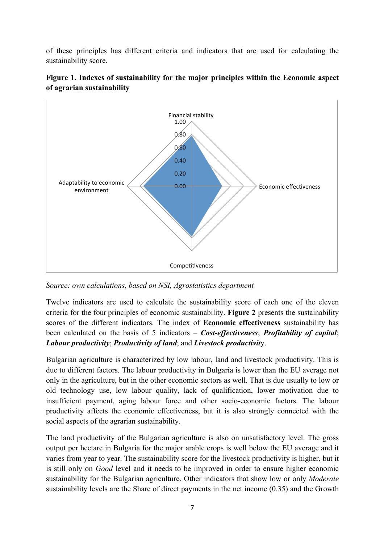of these principles has different criteria and indicators that are used for calculating the sustainability score.





*Source: own calculations, based on NSI, Agrostatistics department*

Twelve indicators are used to calculate the sustainability score of each one of the eleven criteria for the four principles of economic sustainability. **Figure 2** presents the sustainability scores of the different indicators. The index of **Economic effectiveness** sustainability has been calculated on the basis of 5 indicators – *Cost-effectiveness*; *Profitability of capital*; *Labour productivity*; *Productivity of land*; and *Livestock productivit*y.

Bulgarian agriculture is characterized by low labour, land and livestock productivity. This is due to different factors. The labour productivity in Bulgaria is lower than the EU average not only in the agriculture, but in the other economic sectors as well. That is due usually to low or old technology use, low labour quality, lack of qualification, lower motivation due to insufficient payment, aging labour force and other socio-economic factors. The labour productivity affects the economic effectiveness, but it is also strongly connected with the social aspects of the agrarian sustainability.

The land productivity of the Bulgarian agriculture is also on unsatisfactory level. The gross output per hectare in Bulgaria for the major arable crops is well below the EU average and it varies from year to year. The sustainability score for the livestock productivity is higher, but it is still only on *Good* level and it needs to be improved in order to ensure higher economic sustainability for the Bulgarian agriculture. Other indicators that show low or only *Moderate* sustainability levels are the Share of direct payments in the net income (0.35) and the Growth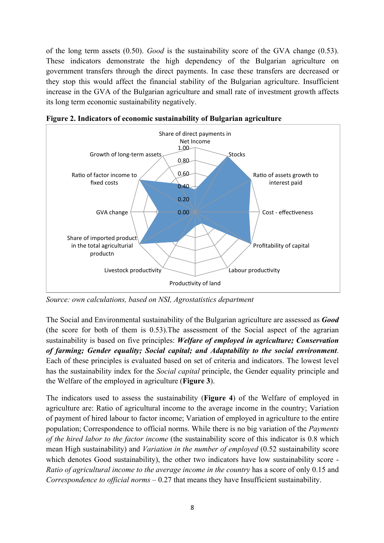of the long term assets (0.50). *Good* is the sustainability score of the GVA change (0.53). These indicators demonstrate the high dependency of the Bulgarian agriculture on government transfers through the direct payments. In case these transfers are decreased or they stop this would affect the financial stability of the Bulgarian agriculture. Insufficient increase in the GVA of the Bulgarian agriculture and small rate of investment growth affects its long term economic sustainability negatively.



**Figure 2. Indicators of economic sustainability of Bulgarian agriculture** 

*Source: own calculations, based on NSI, Agrostatistics department*

The Social and Environmental sustainability of the Bulgarian agriculture are assessed as *Good*  (the score for both of them is 0.53).The assessment of the Social aspect of the agrarian sustainability is based on five principles: *Welfare of employed in agriculture; Conservation of farming; Gender equality; Social capital; and Adaptability to the social environment*. Each of these principles is evaluated based on set of criteria and indicators. The lowest level has the sustainability index for the *Social capital* principle, the Gender equality principle and the Welfare of the employed in agriculture (**Figure 3**).

The indicators used to assess the sustainability (**Figure 4**) of the Welfare of employed in agriculture are: Ratio of agricultural income to the average income in the country; Variation of payment of hired labour to factor income; Variation of employed in agriculture to the entire population; Correspondence to official norms. While there is no big variation of the *Payments of the hired labor to the factor income* (the sustainability score of this indicator is 0.8 which mean High sustainability) and *Variation in the number of employed* (0.52 sustainability score which denotes Good sustainability), the other two indicators have low sustainability score - *Ratio of agricultural income to the average income in the country* has a score of only 0.15 and *Correspondence to official norms* – 0.27 that means they have Insufficient sustainability.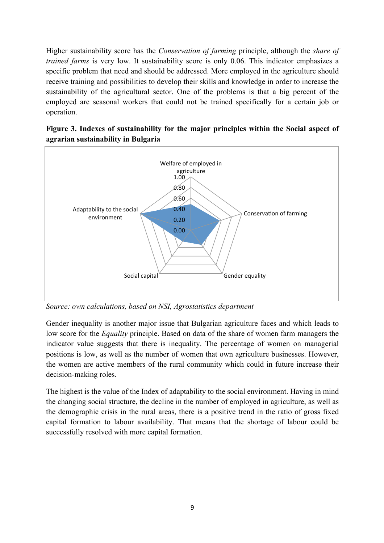Higher sustainability score has the *Conservation of farming* principle, although the *share of trained farms* is very low. It sustainability score is only 0.06. This indicator emphasizes a specific problem that need and should be addressed. More employed in the agriculture should receive training and possibilities to develop their skills and knowledge in order to increase the sustainability of the agricultural sector. One of the problems is that a big percent of the employed are seasonal workers that could not be trained specifically for a certain job or operation.





*Source: own calculations, based on NSI, Agrostatistics department*

Gender inequality is another major issue that Bulgarian agriculture faces and which leads to low score for the *Equality* principle. Based on data of the share of women farm managers the indicator value suggests that there is inequality. The percentage of women on managerial positions is low, as well as the number of women that own agriculture businesses. However, the women are active members of the rural community which could in future increase their decision-making roles.

The highest is the value of the Index of adaptability to the social environment. Having in mind the changing social structure, the decline in the number of employed in agriculture, as well as the demographic crisis in the rural areas, there is a positive trend in the ratio of gross fixed capital formation to labour availability. That means that the shortage of labour could be successfully resolved with more capital formation.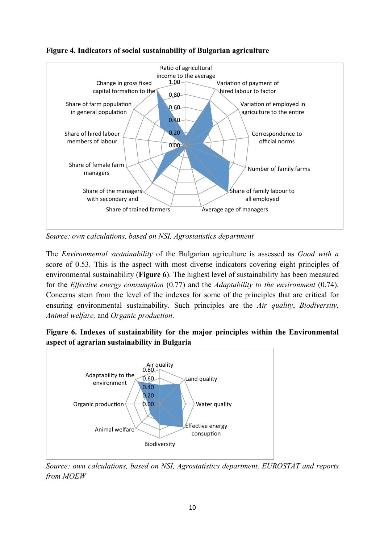

**Figure 4. Indicators of social sustainability of Bulgarian agriculture** 

*Source: own calculations, based on NSI, Agrostatistics department* 

The *Environmental sustainability* of the Bulgarian agriculture is assessed as *Good with a* score of 0.53. This is the aspect with most diverse indicators covering eight principles of environmental sustainability (**Figure 6**). The highest level of sustainability has been measured for the *Effective energy consumption* (0.77) and the *Adaptability to the environment* (0.74). Concerns stem from the level of the indexes for some of the principles that are critical for ensuring environmental sustainability. Such principles are the *Air quality*, *Biodiversity*, *Animal welfare,* and *Organic production*.

## **Figure 6. Indexes of sustainability for the major principles within the Environmental aspect of agrarian sustainability in Bulgaria**



*Source: own calculations, based on NSI, Agrostatistics department, EUROSTAT and reports from MOEW*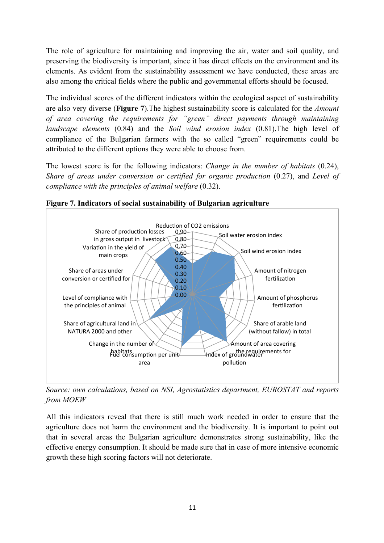The role of agriculture for maintaining and improving the air, water and soil quality, and preserving the biodiversity is important, since it has direct effects on the environment and its elements. As evident from the sustainability assessment we have conducted, these areas are also among the critical fields where the public and governmental efforts should be focused.

The individual scores of the different indicators within the ecological aspect of sustainability are also very diverse (**Figure 7**).The highest sustainability score is calculated for the *Amount of area covering the requirements for "green" direct payments through maintaining landscape elements* (0.84) and the *Soil wind erosion index* (0.81).The high level of compliance of the Bulgarian farmers with the so called "green" requirements could be attributed to the different options they were able to choose from.

The lowest score is for the following indicators: *Change in the number of habitats* (0.24), *Share of areas under conversion or certified for organic production* (0.27), and *Level of compliance with the principles of animal welfare* (0.32).



**Figure 7. Indicators of social sustainability of Bulgarian agriculture**

*Source: own calculations, based on NSI, Agrostatistics department, EUROSTAT and reports from MOEW*

All this indicators reveal that there is still much work needed in order to ensure that the agriculture does not harm the environment and the biodiversity. It is important to point out that in several areas the Bulgarian agriculture demonstrates strong sustainability, like the effective energy consumption. It should be made sure that in case of more intensive economic growth these high scoring factors will not deteriorate.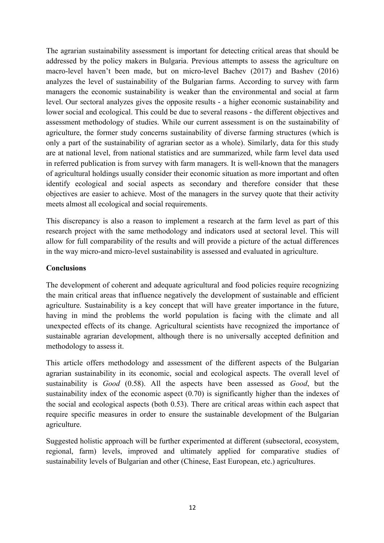The agrarian sustainability assessment is important for detecting critical areas that should be addressed by the policy makers in Bulgaria. Previous attempts to assess the agriculture on macro-level haven't been made, but on micro-level Bachev (2017) and Bashev (2016) analyzes the level of sustainability of the Bulgarian farms. According to survey with farm managers the economic sustainability is weaker than the environmental and social at farm level. Our sectoral analyzes gives the opposite results - a higher economic sustainability and lower social and ecological. This could be due to several reasons - the different objectives and assessment methodology of studies. While our current assessment is on the sustainability of agriculture, the former study concerns sustainability of diverse farming structures (which is only a part of the sustainability of agrarian sector as a whole). Similarly, data for this study are at national level, from national statistics and are summarized, while farm level data used in referred publication is from survey with farm managers. It is well-known that the managers of agricultural holdings usually consider their economic situation as more important and often identify ecological and social aspects as secondary and therefore consider that these objectives are easier to achieve. Most of the managers in the survey quote that their activity meets almost all ecological and social requirements.

This discrepancy is also a reason to implement a research at the farm level as part of this research project with the same methodology and indicators used at sectoral level. This will allow for full comparability of the results and will provide a picture of the actual differences in the way micro-and micro-level sustainability is assessed and evaluated in agriculture.

## **Conclusions**

The development of coherent and adequate agricultural and food policies require recognizing the main critical areas that influence negatively the development of sustainable and efficient agriculture. Sustainability is a key concept that will have greater importance in the future, having in mind the problems the world population is facing with the climate and all unexpected effects of its change. Agricultural scientists have recognized the importance of sustainable agrarian development, although there is no universally accepted definition and methodology to assess it.

This article offers methodology and assessment of the different aspects of the Bulgarian agrarian sustainability in its economic, social and ecological aspects. The overall level of sustainability is *Good* (0.58). All the aspects have been assessed as *Good*, but the sustainability index of the economic aspect (0.70) is significantly higher than the indexes of the social and ecological aspects (both 0.53). There are critical areas within each aspect that require specific measures in order to ensure the sustainable development of the Bulgarian agriculture.

Suggested holistic approach will be further experimented at different (subsectoral, ecosystem, regional, farm) levels, improved and ultimately applied for comparative studies of sustainability levels of Bulgarian and other (Chinese, East European, etc.) agricultures.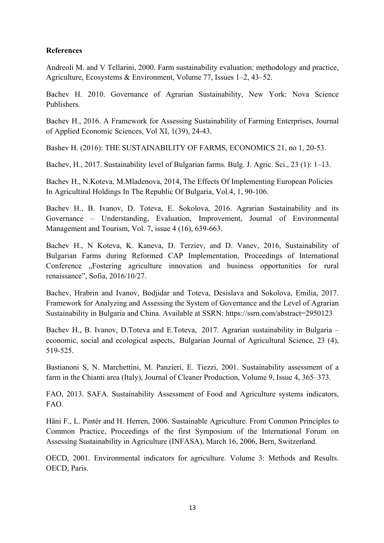#### **References**

Andreoli M. and V Tellarini, 2000. Farm sustainability evaluation: methodology and practice, Agriculture, Ecosystems & Environment, Volume 77, Issues 1–2, 43–52.

Bachev H. 2010. Governance of Agrarian Sustainability, New York: Nova Science Publishers.

Bachev H., 2016. A Framework for Assessing Sustainability of Farming Enterprises, Journal of Applied Economic Sciences, Vol XI, 1(39), 24-43.

Bashev H. (2016): THE SUSTAINABILITY OF FARMS, ECONOMICS 21, no 1, 20-53.

Bachev, H., 2017. Sustainability level of Bulgarian farms. Bulg. J. Agric. Sci., 23 (1): 1–13.

Bachev H., N.Koteva, M.Mladenova, 2014, The Effects Of Implementing European Policies In Agricultiral Holdings In The Republic Of Bulgaria, Vol.4, 1, 90-106.

Bachev H., B. Ivanov, D. Toteva, E. Sokolova, 2016. Agrarian Sustainability and its Governance – Understanding, Evaluation, Improvement, Journal of Environmental Management and Tourism, Vol. 7, issue 4 (16), 639-663.

Bachev H., N Koteva, K. Kaneva, D. Terziev, and D. Vanev, 2016, Sustainability of Bulgarian Farms during Reformed CAP Implementation, Proceedings of International Conference ...Fostering agriculture innovation and business opportunities for rural renaissance", Sofia, 2016/10/27.

Bachev, Hrabrin and Ivanov, Bodjidar and Toteva, Desislava and Sokolova, Emilia, 2017. Framework for Analyzing and Assessing the System of Governance and the Level of Agrarian Sustainability in Bulgaria and China. Available at SSRN: https://ssrn.com/abstract=2950123

Bachev H., B. Ivanov, D.Toteva and E.Toteva, 2017. Agrarian sustainability in Bulgaria – economic, social and ecological aspects, Bulgarian Journal of Agricultural Science, 23 (4), 519-525.

Bastianoni S, N. Marchettini, M. Panzieri, E. Tiezzi, 2001. Sustainability assessment of a farm in the Chianti area (Italy), Journal of Cleaner Production, Volume 9, Issue 4, 365–373.

FAO, 2013. SAFA. Sustainability Assessment of Food and Agriculture systems indicators, FAO.

Häni F., L. Pintér and H. Herren, 2006. Sustainable Agriculture. From Common Principles to Common Practice, Proceedings of the first Symposium of the International Forum on Assessing Sustainability in Agriculture (INFASA), March 16, 2006, Bern, Switzerland.

OECD, 2001. Environmental indicators for agriculture. Volume 3: Methods and Results. OECD, Paris.